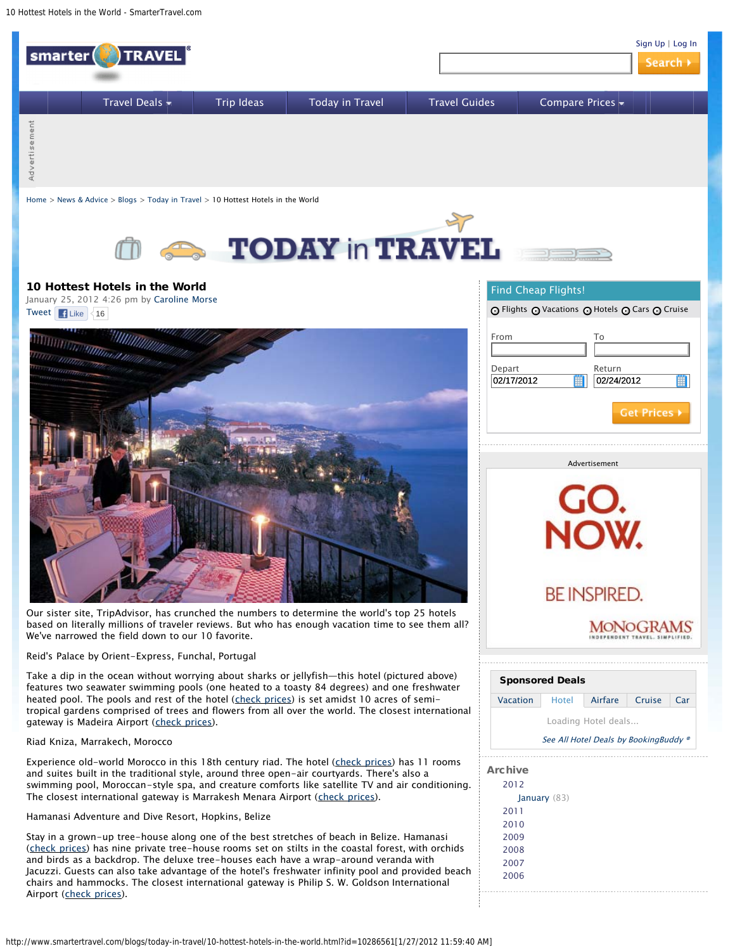